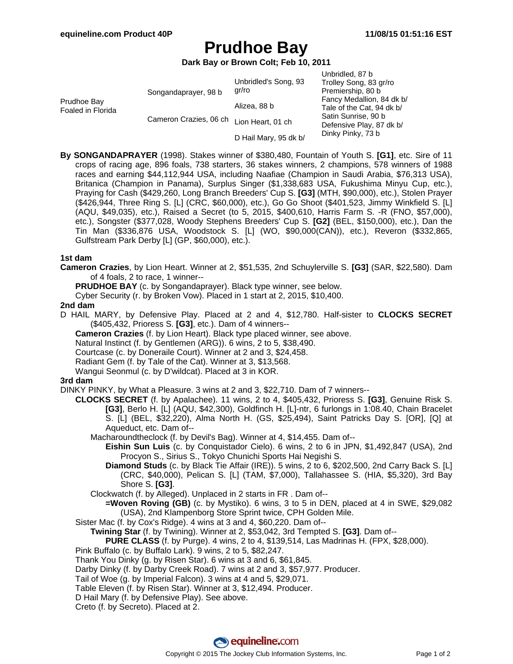# **Prudhoe Bay**

**Dark Bay or Brown Colt; Feb 10, 2011**

|                                  |                        |                       | Unbridled, 87 b           |
|----------------------------------|------------------------|-----------------------|---------------------------|
|                                  |                        | Unbridled's Song, 93  | Trolley Song, 83 gr/ro    |
| Prudhoe Bay<br>Foaled in Florida | Songandaprayer, 98 b   | gr/ro                 | Premiership, 80 b         |
|                                  |                        | Alizea, 88 b          | Fancy Medallion, 84 dk b/ |
|                                  |                        |                       | Tale of the Cat, 94 dk b/ |
|                                  | Cameron Crazies, 06 ch | Lion Heart, 01 ch     | Satin Sunrise, 90 b       |
|                                  |                        |                       | Defensive Play, 87 dk b/  |
|                                  |                        | D Hail Mary, 95 dk b/ | Dinky Pinky, 73 b         |

**By SONGANDAPRAYER** (1998). Stakes winner of \$380,480, Fountain of Youth S. **[G1]**, etc. Sire of 11 crops of racing age, 896 foals, 738 starters, 36 stakes winners, 2 champions, 578 winners of 1988 races and earning \$44,112,944 USA, including Naafiae (Champion in Saudi Arabia, \$76,313 USA), Britanica (Champion in Panama), Surplus Singer (\$1,338,683 USA, Fukushima Minyu Cup, etc.), Praying for Cash (\$429,260, Long Branch Breeders' Cup S. **[G3]** (MTH, \$90,000), etc.), Stolen Prayer (\$426,944, Three Ring S. [L] (CRC, \$60,000), etc.), Go Go Shoot (\$401,523, Jimmy Winkfield S. [L] (AQU, \$49,035), etc.), Raised a Secret (to 5, 2015, \$400,610, Harris Farm S. -R (FNO, \$57,000), etc.), Songster (\$377,028, Woody Stephens Breeders' Cup S. **[G2]** (BEL, \$150,000), etc.), Dan the Tin Man (\$336,876 USA, Woodstock S. [L] (WO, \$90,000(CAN)), etc.), Reveron (\$332,865, Gulfstream Park Derby [L] (GP, \$60,000), etc.).

## **1st dam**

**Cameron Crazies**, by Lion Heart. Winner at 2, \$51,535, 2nd Schuylerville S. **[G3]** (SAR, \$22,580). Dam of 4 foals, 2 to race, 1 winner--

**PRUDHOE BAY** (c. by Songandaprayer). Black type winner, see below.

Cyber Security (r. by Broken Vow). Placed in 1 start at 2, 2015, \$10,400.

#### **2nd dam**

D HAIL MARY, by Defensive Play. Placed at 2 and 4, \$12,780. Half-sister to **CLOCKS SECRET** (\$405,432, Prioress S. **[G3]**, etc.). Dam of 4 winners--

**Cameron Crazies** (f. by Lion Heart). Black type placed winner, see above.

Natural Instinct (f. by Gentlemen (ARG)). 6 wins, 2 to 5, \$38,490.

Courtcase (c. by Doneraile Court). Winner at 2 and 3, \$24,458.

Radiant Gem (f. by Tale of the Cat). Winner at 3, \$13,568.

Wangui Seonmul (c. by D'wildcat). Placed at 3 in KOR.

#### **3rd dam**

DINKY PINKY, by What a Pleasure. 3 wins at 2 and 3, \$22,710. Dam of 7 winners--

- **CLOCKS SECRET** (f. by Apalachee). 11 wins, 2 to 4, \$405,432, Prioress S. **[G3]**, Genuine Risk S. **[G3]**, Berlo H. [L] (AQU, \$42,300), Goldfinch H. [L]-ntr, 6 furlongs in 1:08.40, Chain Bracelet S. [L] (BEL, \$32,220), Alma North H. (GS, \$25,494), Saint Patricks Day S. [OR], [Q] at Aqueduct, etc. Dam of--
	- Macharoundtheclock (f. by Devil's Bag). Winner at 4, \$14,455. Dam of--
		- **Eishin Sun Luis** (c. by Conquistador Cielo). 6 wins, 2 to 6 in JPN, \$1,492,847 (USA), 2nd Procyon S., Sirius S., Tokyo Chunichi Sports Hai Negishi S.
		- **Diamond Studs** (c. by Black Tie Affair (IRE)). 5 wins, 2 to 6, \$202,500, 2nd Carry Back S. [L] (CRC, \$40,000), Pelican S. [L] (TAM, \$7,000), Tallahassee S. (HIA, \$5,320), 3rd Bay Shore S. **[G3]**.
	- Clockwatch (f. by Alleged). Unplaced in 2 starts in FR . Dam of--
		- **=Woven Roving (GB)** (c. by Mystiko). 6 wins, 3 to 5 in DEN, placed at 4 in SWE, \$29,082 (USA), 2nd Klampenborg Store Sprint twice, CPH Golden Mile.
- Sister Mac (f. by Cox's Ridge). 4 wins at 3 and 4, \$60,220. Dam of--
	- **Twining Star** (f. by Twining). Winner at 2, \$53,042, 3rd Tempted S. **[G3]**. Dam of--
	- **PURE CLASS** (f. by Purge). 4 wins, 2 to 4, \$139,514, Las Madrinas H. (FPX, \$28,000).

# Pink Buffalo (c. by Buffalo Lark). 9 wins, 2 to 5, \$82,247.

- Thank You Dinky (g. by Risen Star). 6 wins at 3 and 6, \$61,845.
- Darby Dinky (f. by Darby Creek Road). 7 wins at 2 and 3, \$57,977. Producer.
- Tail of Woe (g. by Imperial Falcon). 3 wins at 4 and 5, \$29,071.
- Table Eleven (f. by Risen Star). Winner at 3, \$12,494. Producer.
- D Hail Mary (f. by Defensive Play). See above.
- Creto (f. by Secreto). Placed at 2.